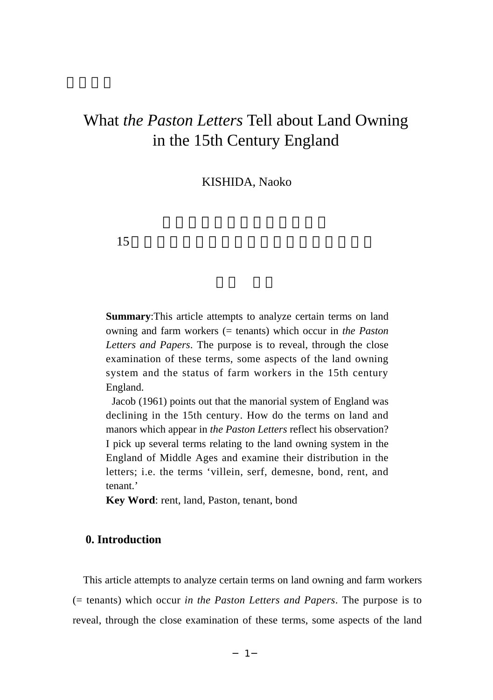KISHIDA, Naoko

 $15$ 

**Summary**:This article attempts to analyze certain terms on land owning and farm workers (= tenants) which occur in *the Paston Letters and Papers*. The purpose is to reveal, through the close examination of these terms, some aspects of the land owning system and the status of farm workers in the 15th century England.

Jacob (1961) points out that the manorial system of England was declining in the 15th century. How do the terms on land and manors which appear in *the Paston Letters* reflect his observation? I pick up several terms relating to the land owning system in the England of Middle Ages and examine their distribution in the letters; i.e. the terms 'villein, serf, demesne, bond, rent, and tenant.'

**Key Word**: rent, land, Paston, tenant, bond

# **0. Introduction**

This article attempts to analyze certain terms on land owning and farm workers (= tenants) which occur *in the Paston Letters and Papers*. The purpose is to reveal, through the close examination of these terms, some aspects of the land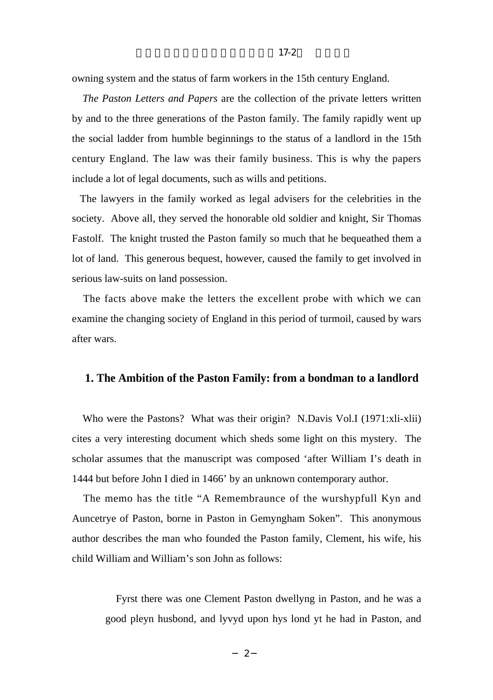*The Paston Letters and Papers* are the collection of the private letters written by and to the three generations of the Paston family. The family rapidly went up the social ladder from humble beginnings to the status of a landlord in the 15th century England. The law was their family business. This is why the papers include a lot of legal documents, such as wills and petitions.

The lawyers in the family worked as legal advisers for the celebrities in the society. Above all, they served the honorable old soldier and knight, Sir Thomas Fastolf. The knight trusted the Paston family so much that he bequeathed them a lot of land. This generous bequest, however, caused the family to get involved in serious law-suits on land possession.

The facts above make the letters the excellent probe with which we can examine the changing society of England in this period of turmoil, caused by wars after wars.

## **1. The Ambition of the Paston Family: from a bondman to a landlord**

Who were the Pastons? What was their origin? N.Davis Vol.I (1971:xli-xlii) cites a very interesting document which sheds some light on this mystery. The scholar assumes that the manuscript was composed 'after William I's death in 1444 but before John I died in 1466' by an unknown contemporary author.

The memo has the title "A Remembraunce of the wurshypfull Kyn and Auncetrye of Paston, borne in Paston in Gemyngham Soken". This anonymous author describes the man who founded the Paston family, Clement, his wife, his child William and William's son John as follows:

Fyrst there was one Clement Paston dwellyng in Paston, and he was a good pleyn husbond, and lyvyd upon hys lond yt he had in Paston, and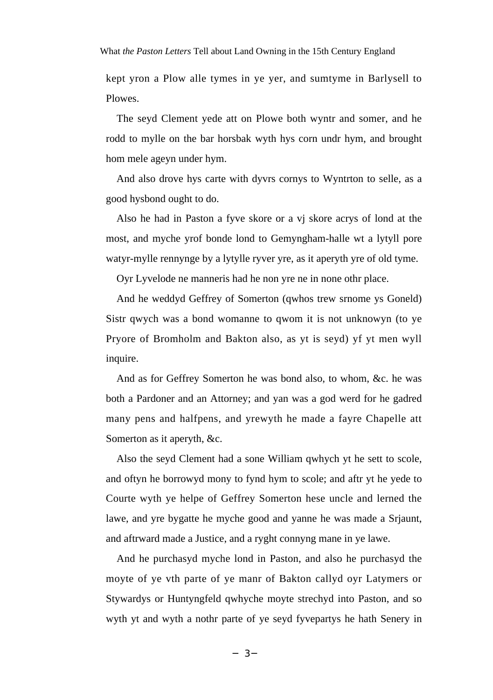kept yron a Plow alle tymes in ye yer, and sumtyme in Barlysell to Plowes.

The seyd Clement yede att on Plowe both wyntr and somer, and he rodd to mylle on the bar horsbak wyth hys corn undr hym, and brought hom mele ageyn under hym.

And also drove hys carte with dyvrs cornys to Wyntrton to selle, as a good hysbond ought to do.

Also he had in Paston a fyve skore or a vj skore acrys of lond at the most, and myche yrof bonde lond to Gemyngham-halle wt a lytyll pore watyr-mylle rennynge by a lytylle ryver yre, as it aperyth yre of old tyme.

Oyr Lyvelode ne manneris had he non yre ne in none othr place.

And he weddyd Geffrey of Somerton (qwhos trew srnome ys Goneld) Sistr qwych was a bond womanne to qwom it is not unknowyn (to ye Pryore of Bromholm and Bakton also, as yt is seyd) yf yt men wyll inquire.

And as for Geffrey Somerton he was bond also, to whom, &c. he was both a Pardoner and an Attorney; and yan was a god werd for he gadred many pens and halfpens, and yrewyth he made a fayre Chapelle att Somerton as it aperyth, &c.

Also the seyd Clement had a sone William qwhych yt he sett to scole, and oftyn he borrowyd mony to fynd hym to scole; and aftr yt he yede to Courte wyth ye helpe of Geffrey Somerton hese uncle and lerned the lawe, and yre bygatte he myche good and yanne he was made a Srjaunt, and aftrward made a Justice, and a ryght connyng mane in ye lawe.

And he purchasyd myche lond in Paston, and also he purchasyd the moyte of ye vth parte of ye manr of Bakton callyd oyr Latymers or Stywardys or Huntyngfeld qwhyche moyte strechyd into Paston, and so wyth yt and wyth a nothr parte of ye seyd fyvepartys he hath Senery in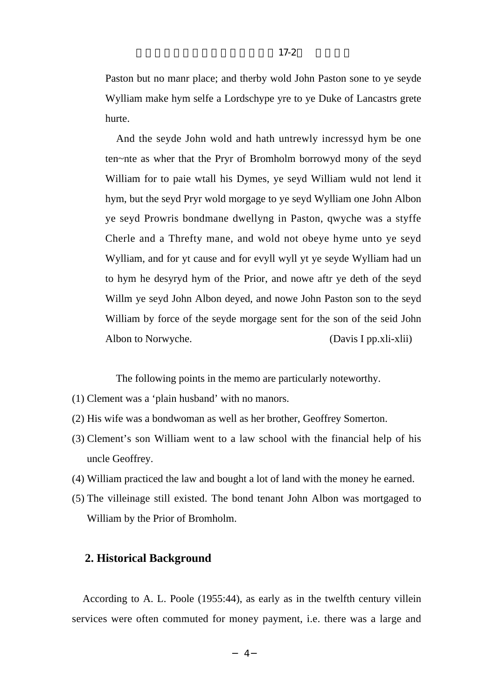Paston but no manr place; and therby wold John Paston sone to ye seyde Wylliam make hym selfe a Lordschype yre to ye Duke of Lancastrs grete hurte.

And the seyde John wold and hath untrewly incressyd hym be one ten~nte as wher that the Pryr of Bromholm borrowyd mony of the seyd William for to paie wtall his Dymes, ye seyd William wuld not lend it hym, but the seyd Pryr wold morgage to ye seyd Wylliam one John Albon ye seyd Prowris bondmane dwellyng in Paston, qwyche was a styffe Cherle and a Threfty mane, and wold not obeye hyme unto ye seyd Wylliam, and for yt cause and for evyll wyll yt ye seyde Wylliam had un to hym he desyryd hym of the Prior, and nowe aftr ye deth of the seyd Willm ye seyd John Albon deyed, and nowe John Paston son to the seyd William by force of the seyde morgage sent for the son of the seid John Albon to Norwyche. (Davis I pp.xli-xlii)

The following points in the memo are particularly noteworthy.

- (1) Clement was a 'plain husband' with no manors.
- (2) His wife was a bondwoman as well as her brother, Geoffrey Somerton.
- (3) Clement's son William went to a law school with the financial help of his uncle Geoffrey.
- (4) William practiced the law and bought a lot of land with the money he earned.
- (5) The villeinage still existed. The bond tenant John Albon was mortgaged to William by the Prior of Bromholm.

# **2. Historical Background**

According to A. L. Poole (1955:44), as early as in the twelfth century villein services were often commuted for money payment, i.e. there was a large and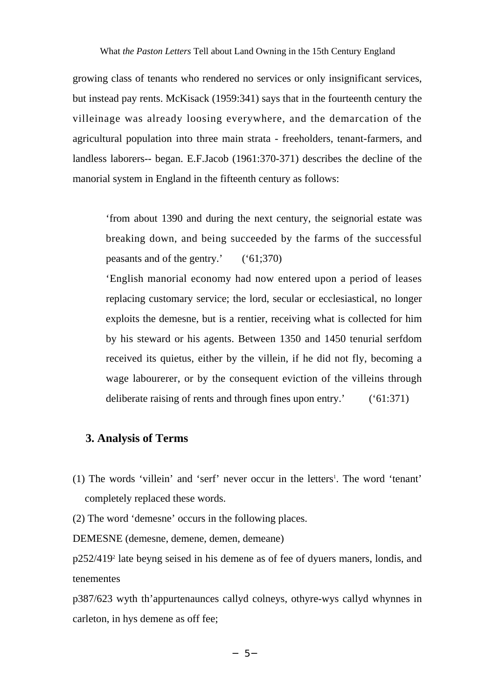growing class of tenants who rendered no services or only insignificant services, but instead pay rents. McKisack (1959:341) says that in the fourteenth century the villeinage was already loosing everywhere, and the demarcation of the agricultural population into three main strata - freeholders, tenant-farmers, and landless laborers-- began. E.F.Jacob (1961:370-371) describes the decline of the manorial system in England in the fifteenth century as follows:

'from about 1390 and during the next century, the seignorial estate was breaking down, and being succeeded by the farms of the successful peasants and of the gentry.' ('61;370)

'English manorial economy had now entered upon a period of leases replacing customary service; the lord, secular or ecclesiastical, no longer exploits the demesne, but is a rentier, receiving what is collected for him by his steward or his agents. Between 1350 and 1450 tenurial serfdom received its quietus, either by the villein, if he did not fly, becoming a wage labourerer, or by the consequent eviction of the villeins through deliberate raising of rents and through fines upon entry.' ('61:371)

# **3. Analysis of Terms**

(1) The words 'villein' and 'serf' never occur in the letters<sup>1</sup>. The word 'tenant' completely replaced these words.

(2) The word 'demesne' occurs in the following places.

DEMESNE (demesne, demene, demen, demeane)

 $p252/419<sup>2</sup>$  late beyng seised in his demene as of fee of dyuers maners, londis, and tenementes

p387/623 wyth th'appurtenaunces callyd colneys, othyre-wys callyd whynnes in carleton, in hys demene as off fee;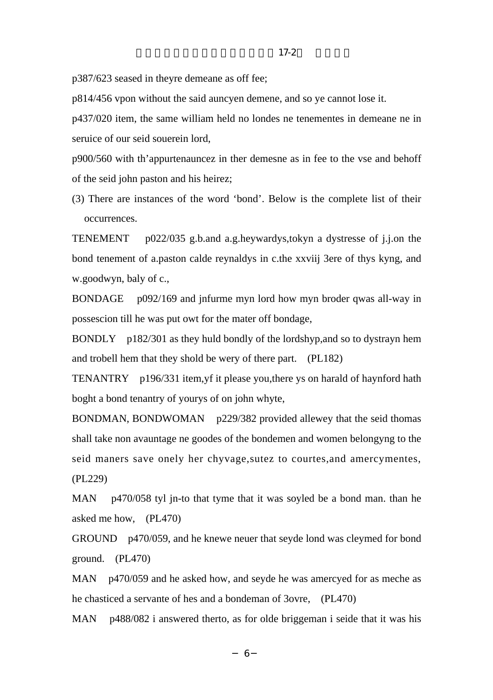p814/456 vpon without the said auncyen demene, and so ye cannot lose it.

p437/020 item, the same william held no londes ne tenementes in demeane ne in seruice of our seid souerein lord.

 $17-2$ 

p900/560 with th'appurtenauncez in ther demesne as in fee to the vse and behoff of the seid john paston and his heirez;

(3) There are instances of the word 'bond'. Below is the complete list of their occurrences.

TENEMENT p022/035 g.b.and a.g.heywardys, tokyn a dystresse of j.j.on the bond tenement of a paston calde reynaldys in c.the xxviij 3ere of thys kyng, and w.goodwyn, baly of c.,

BONDAGE p092/169 and jnfurme myn lord how myn broder qwas all-way in possescion till he was put owt for the mater off bondage,

BONDLY p182/301 as they huld bondly of the lordshyp, and so to dystrayn hem and trobell hem that they shold be wery of there part. (PL182)

TENANTRY p196/331 item, yf it please you, there ys on harald of haynford hath boght a bond tenantry of yourys of on john whyte,

BONDMAN, BONDWOMAN p229/382 provided allewey that the seid thomas shall take non avauntage ne goodes of the bondemen and women belongyng to the seid maners save onely her chyvage, sutez to courtes, and amercymentes,  $(PL229)$ 

MAN p470/058 tyl jn-to that tyme that it was soyled be a bond man. than he asked me how, (PL470)

GROUND p470/059, and he knewe neuer that seyde lond was cleymed for bond ground.  $(PL470)$ 

MAN  $p470/059$  and he asked how, and seyde he was amercyed for as meche as he chasticed a servante of hes and a bondeman of 3ovre, (PL470)

MAN p488/082 i answered therto, as for olde briggeman i seide that it was his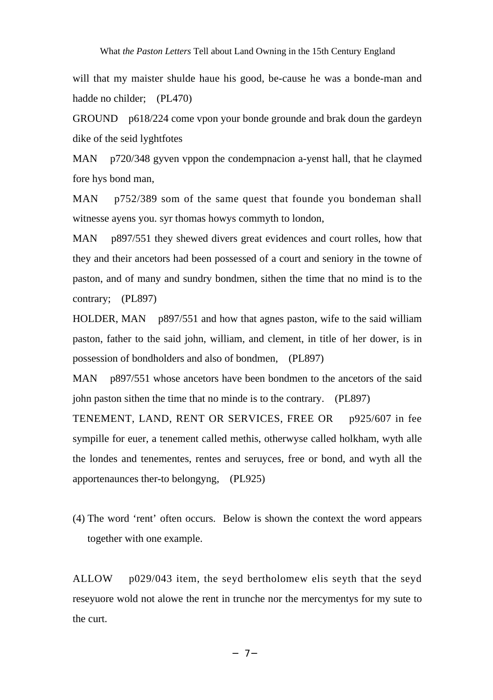will that my maister shulde haue his good, be-cause he was a bonde-man and hadde no childer; (PL470)

GROUND p618/224 come vpon your bonde grounde and brak doun the gardeyn dike of the seid lyghtfotes

MAN p720/348 gyven vppon the condempnacion a-yenst hall, that he claymed fore hys bond man,

MAN p752/389 som of the same quest that founde you bondeman shall witnesse ayens you. syr thomas howys commyth to london,

MAN p897/551 they shewed divers great evidences and court rolles, how that they and their ancetors had been possessed of a court and seniory in the towne of paston, and of many and sundry bondmen, sithen the time that no mind is to the contrary; (PL897)

HOLDER, MAN p897/551 and how that agnes paston, wife to the said william paston, father to the said john, william, and clement, in title of her dower, is in possession of bondholders and also of bondmen, (PL897)

MAN p897/551 whose ancetors have been bondmen to the ancetors of the said john paston sithen the time that no minde is to the contrary. (PL897)

TENEMENT, LAND, RENT OR SERVICES, FREE OR p925/607 in fee sympille for euer, a tenement called methis, otherwyse called holkham, wyth alle the londes and tenementes, rentes and seruyces, free or bond, and wyth all the apportenaunces ther-to belongyng, (PL925)

(4) The word 'rent' often occurs. Below is shown the context the word appears together with one example.

ALLOW p029/043 item, the seyd bertholomew elis seyth that the seyd reseyuore wold not alowe the rent in trunche nor the mercymentys for my sute to the curt.

─7─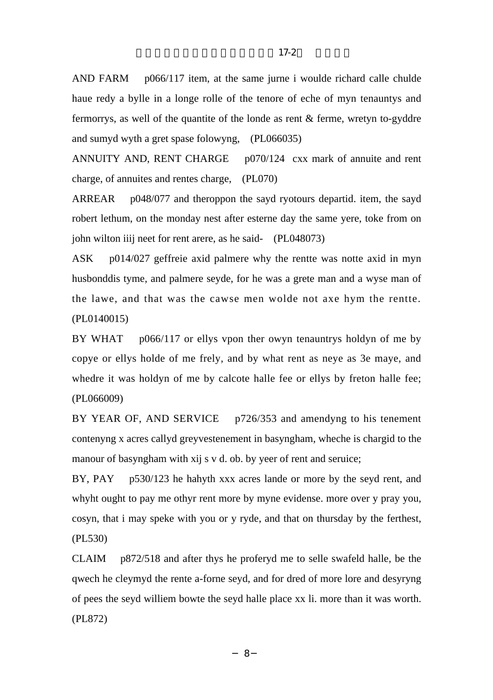AND FARM p066/117 item, at the same jurne i woulde richard calle chulde haue redy a bylle in a longe rolle of the tenore of eche of myn tenauntys and fermorrys, as well of the quantite of the londe as rent & ferme, wretyn to-gyddre and sumyd wyth a gret spase folowyng, (PL066035)

ANNUITY AND, RENT CHARGE p070/124 cxx mark of annuite and rent charge, of annuites and rentes charge, (PL070)

ARREAR p048/077 and theroppon the sayd ryotours departid. item, the sayd robert lethum, on the monday nest after esterne day the same yere, toke from on john wilton iiij neet for rent arere, as he said- (PL048073)

ASK p014/027 geffreie axid palmere why the rentte was notte axid in myn husbonddis tyme, and palmere seyde, for he was a grete man and a wyse man of the lawe, and that was the cawse men wolde not axe hym the rentte. (PL0140015)

BY WHAT p066/117 or ellys ypon ther owyn tenauntrys holdyn of me by copye or ellys holde of me frely, and by what rent as neye as 3e maye, and whedre it was holdyn of me by calcote halle fee or ellys by freton halle fee; (PL066009)

BY YEAR OF, AND SERVICE p726/353 and amendyng to his tenement contenyng x acres callyd greyvestenement in basyngham, wheche is chargid to the manour of basyngham with xij s v d. ob. by yeer of rent and seruice;

BY, PAY p530/123 he hahyth xxx acres lande or more by the seyd rent, and whyht ought to pay me othyr rent more by myne evidense. more over y pray you, cosyn, that i may speke with you or y ryde, and that on thursday by the ferthest, (PL530)

CLAIM p872/518 and after thys he proferyd me to selle swafeld halle, be the qwech he cleymyd the rente a-forne seyd, and for dred of more lore and desyryng of pees the seyd williem bowte the seyd halle place xx li. more than it was worth. (PL872)

─8─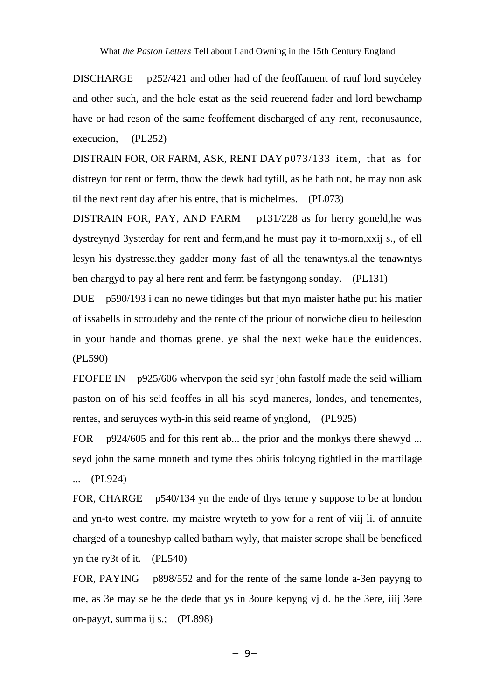DISCHARGE p252/421 and other had of the feoffament of rauf lord suydeley and other such, and the hole estat as the seid reuerend fader and lord bewchamp have or had reson of the same feoffement discharged of any rent, reconusaunce, execucion, (PL252)

DISTRAIN FOR, OR FARM, ASK, RENT DAYp073/133 item, that as for distreyn for rent or ferm, thow the dewk had tytill, as he hath not, he may non ask til the next rent day after his entre, that is michelmes. (PL073)

DISTRAIN FOR, PAY, AND FARM p131/228 as for herry goneld,he was dystreynyd 3ysterday for rent and ferm,and he must pay it to-morn,xxij s., of ell lesyn his dystresse.they gadder mony fast of all the tenawntys.al the tenawntys ben chargyd to pay al here rent and ferm be fastyngong sonday. (PL131)

DUE p590/193 i can no newe tidinges but that myn maister hathe put his matier of issabells in scroudeby and the rente of the priour of norwiche dieu to heilesdon in your hande and thomas grene. ye shal the next weke haue the euidences. (PL590)

FEOFEE IN p925/606 whervpon the seid syr john fastolf made the seid william paston on of his seid feoffes in all his seyd maneres, londes, and tenementes, rentes, and seruyces wyth-in this seid reame of ynglond, (PL925)

FOR p924/605 and for this rent ab... the prior and the monkys there shewyd ... seyd john the same moneth and tyme thes obitis foloyng tightled in the martilage ... (PL924)

FOR, CHARGE p540/134 yn the ende of thys terme y suppose to be at london and yn-to west contre. my maistre wryteth to yow for a rent of viij li. of annuite charged of a touneshyp called batham wyly, that maister scrope shall be beneficed yn the ry3t of it. (PL540)

FOR, PAYING p898/552 and for the rente of the same londe a-3en payyng to me, as 3e may se be the dede that ys in 3oure kepyng vj d. be the 3ere, iiij 3ere on-payyt, summa ij s.; (PL898)

─9─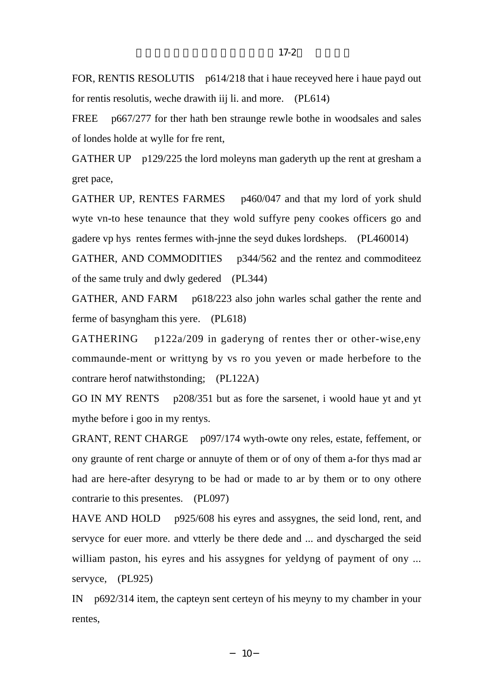FOR, RENTIS RESOLUTIS p614/218 that i haue receyved here i haue payd out for rentis resolutis, weche drawith iij li. and more. (PL614)

p667/277 for ther hath ben straunge rewle bothe in woodsales and sales **FREE** of londes holde at wylle for fre rent,

GATHER UP  $p129/225$  the lord moleyns man gaderyth up the rent at gresham a gret pace,

GATHER UP, RENTES FARMES p460/047 and that my lord of york shuld wyte vn-to hese tenaunce that they wold suffyre peny cookes officers go and gadere vp hys rentes fermes with-jnne the seyd dukes lordsheps. (PL460014)

GATHER, AND COMMODITIES p344/562 and the rentez and commoditeez of the same truly and dwly gedered (PL344)

GATHER, AND FARM p618/223 also john warles schal gather the rente and ferme of basyngham this yere. (PL618)

**GATHERING**  $p122a/209$  in gaderyng of rentes ther or other-wise, eny commaunde-ment or writtyng by vs ro you yeven or made herbefore to the contrare herof natwithstonding; (PL122A)

GO IN MY RENTS p208/351 but as fore the sarsenet, i woold haue yt and yt my the before i goo in my rentys.

GRANT, RENT CHARGE p097/174 wyth-owte ony reles, estate, feffement, or ony graunte of rent charge or annuyte of them or of ony of them a-for thys mad ar had are here-after desyryng to be had or made to ar by them or to ony othere contrarie to this presentes. (PL097)

HAVE AND HOLD p925/608 his eyres and assygnes, the seid lond, rent, and servyce for euer more, and vtterly be there dede and ... and dyscharged the seid william paston, his eyres and his assygnes for yeldyng of payment of ony ... servyce, (PL925)

IN  $p692/314$  item, the capteyn sent certeyn of his meyny to my chamber in your rentes.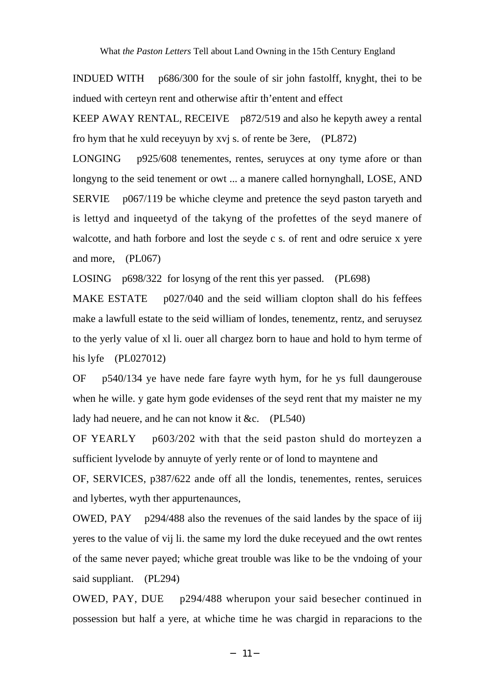**INDUED WITH** p686/300 for the soule of sir john fastolff, knyght, thei to be indued with certeyn rent and otherwise aftir th'entent and effect

KEEP AWAY RENTAL, RECEIVE p872/519 and also he kepyth awey a rental fro hym that he xuld recevuy by xvi s. of rente be 3ere, (PL872)

p925/608 tenementes, rentes, seruyces at ony tyme afore or than **LONGING** longyng to the seid tenement or owt ... a manere called hornynghall, LOSE, AND **SERVIE**  $p067/119$  be whiche cleyme and pretence the seyd paston taryeth and is lettyd and inqueetyd of the takyng of the profettes of the seyd manere of walcotte, and hath forbore and lost the seyde c s. of rent and odre seruice x yere and more, (PL067)

LOSING p698/322 for losyng of the rent this yer passed. (PL698)

**MAKE ESTATE** p027/040 and the seid william clopton shall do his feffees make a lawfull estate to the seid william of londes, tenementz, rentz, and seruysez to the yerly value of xl li. ouer all chargez born to haue and hold to hym terme of his lyfe  $(PL027012)$ 

**OF** p540/134 ye have nede fare fayre wyth hym, for he ys full daungerouse when he wille, y gate hym gode evidenses of the seyd rent that my maister ne my lady had neuere, and he can not know it &c. (PL540)

OF YEARLY p603/202 with that the seid paston shuld do morteyzen a sufficient lyvelode by annuyte of yerly rente or of lond to mayntene and

OF, SERVICES, p387/622 ande off all the londis, tenementes, rentes, seruices and lybertes, wyth ther appurtenaunces,

OWED,  $PAY$  p294/488 also the revenues of the said landes by the space of iii yeres to the value of vij li. the same my lord the duke receyued and the owt rentes of the same never payed; whiche great trouble was like to be the vndoing of your said suppliant. (PL294)

OWED, PAY, DUE p294/488 wherupon your said besecher continued in possession but half a yere, at whiche time he was chargid in reparacions to the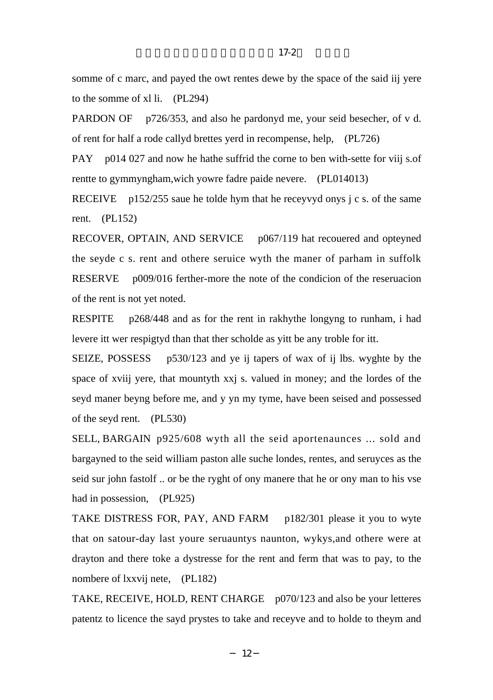somme of c marc, and payed the owt rentes dewe by the space of the said iij yere to the somme of xl li. (PL294)

PARDON OF p726/353, and also he pardonyd me, your seid besecher, of v d. of rent for half a rode callyd brettes yerd in recompense, help, (PL726)

PAY p014 027 and now he hathe suffrid the corne to ben with-sette for viij s.of rentte to gymmyngham,wich yowre fadre paide nevere. (PL014013)

RECEIVE p152/255 saue he tolde hym that he receyvyd onys  $\frac{1}{2}$  c s. of the same rent. (PL152)

RECOVER, OPTAIN, AND SERVICE p067/119 hat recouered and opteyned the seyde c s. rent and othere seruice wyth the maner of parham in suffolk RESERVE p009/016 ferther-more the note of the condicion of the reseruacion of the rent is not yet noted.

RESPITE p268/448 and as for the rent in rakhythe longyng to runham, i had levere itt wer respigtyd than that ther scholde as yitt be any troble for itt.

SEIZE, POSSESS p530/123 and ye ij tapers of wax of ij lbs. wyghte by the space of xviij yere, that mountyth xxj s. valued in money; and the lordes of the seyd maner beyng before me, and y yn my tyme, have been seised and possessed of the seyd rent. (PL530)

SELL, BARGAIN p925/608 wyth all the seid aportenaunces ... sold and bargayned to the seid william paston alle suche londes, rentes, and seruyces as the seid sur john fastolf .. or be the ryght of ony manere that he or ony man to his vse had in possession, (PL925)

TAKE DISTRESS FOR, PAY, AND FARM p182/301 please it you to wyte that on satour-day last youre seruauntys naunton, wykys,and othere were at drayton and there toke a dystresse for the rent and ferm that was to pay, to the nombere of lxxvij nete, (PL182)

TAKE, RECEIVE, HOLD, RENT CHARGE p070/123 and also be your letteres patentz to licence the sayd prystes to take and receyve and to holde to theym and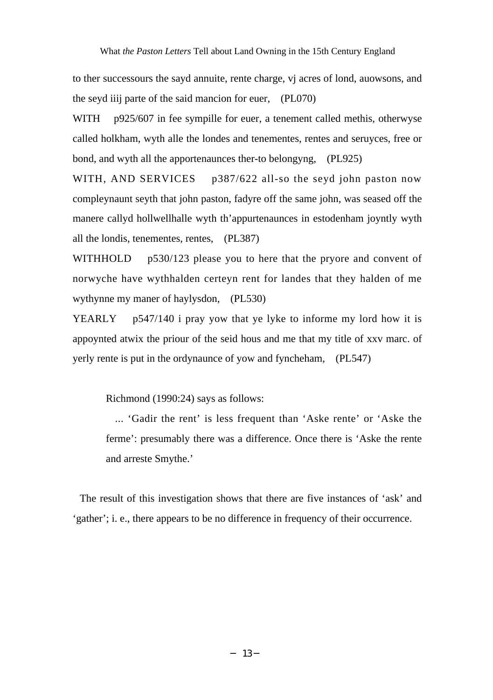to ther successours the sayd annuite, rente charge, vj acres of lond, auowsons, and the seyd iiij parte of the said mancion for euer, (PL070)

WITH p925/607 in fee sympille for euer, a tenement called methis, otherwyse called holkham, wyth alle the londes and tenementes, rentes and seruyces, free or bond, and wyth all the apportenaunces ther-to belongyng, (PL925)

WITH, AND SERVICES p387/622 all-so the seyd john paston now compleynaunt seyth that john paston, fadyre off the same john, was seased off the manere callyd hollwellhalle wyth th'appurtenaunces in estodenham joyntly wyth all the londis, tenementes, rentes, (PL387)

WITHHOLD p530/123 please you to here that the pryore and convent of norwyche have wythhalden certeyn rent for landes that they halden of me wythynne my maner of haylysdon, (PL530)

YEARLY  $p547/140$  i pray yow that ye lyke to informe my lord how it is appoynted atwix the priour of the seid hous and me that my title of xxv marc. of yerly rente is put in the ordynaunce of yow and fyncheham, (PL547)

Richmond (1990:24) says as follows:

... 'Gadir the rent' is less frequent than 'Aske rente' or 'Aske the ferme': presumably there was a difference. Once there is 'Aske the rente and arreste Smythe.'

The result of this investigation shows that there are five instances of 'ask' and 'gather'; i. e., there appears to be no difference in frequency of their occurrence.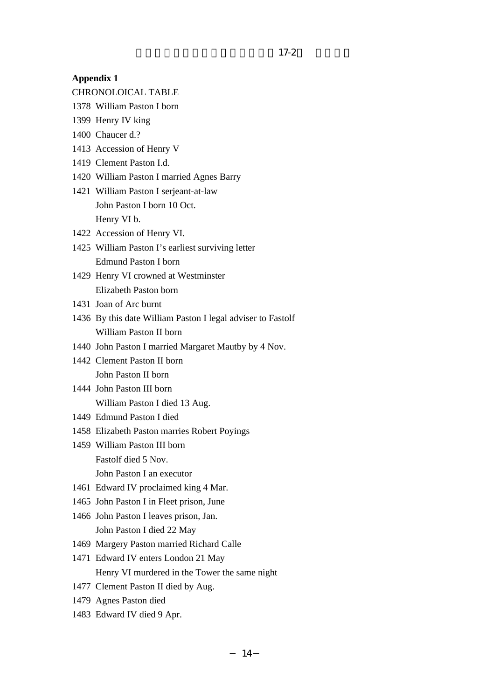#### **Appendix 1**

- CHRONOLOICAL TABLE
- 1378 William Paston I born
- 1399 Henry IV king
- 1400 Chaucer d.?
- 1413 Accession of Henry V
- 1419 Clement Paston I.d.
- 1420 William Paston I married Agnes Barry
- 1421 William Paston I serjeant-at-law John Paston I born 10 Oct. Henry VI b.
- 1422 Accession of Henry VI.
- 1425 William Paston I's earliest surviving letter Edmund Paston I born
- 1429 Henry VI crowned at Westminster Elizabeth Paston born
- 1431 Joan of Arc burnt
- 1436 By this date William Paston I legal adviser to Fastolf William Paston II born
- 1440 John Paston I married Margaret Mautby by 4 Nov.
- 1442 Clement Paston II born John Paston II born
- 1444 John Paston III born William Paston I died 13 Aug.
- 1449 Edmund Paston I died
- 1458 Elizabeth Paston marries Robert Poyings
- 1459 William Paston III born Fastolf died 5 Nov.
	- John Paston I an executor
- 1461 Edward IV proclaimed king 4 Mar.
- 1465 John Paston I in Fleet prison, June
- 1466 John Paston I leaves prison, Jan. John Paston I died 22 May
- 1469 Margery Paston married Richard Calle
- 1471 Edward IV enters London 21 May Henry VI murdered in the Tower the same night
- 1477 Clement Paston II died by Aug.
- 1479 Agnes Paston died
- 1483 Edward IV died 9 Apr.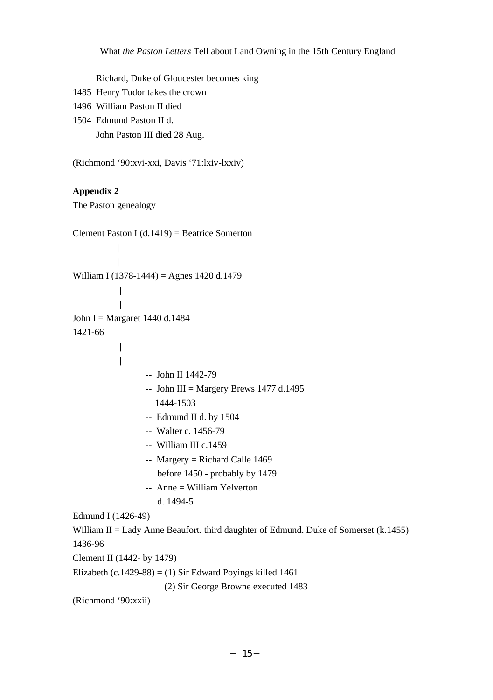Richard, Duke of Gloucester becomes king

- 1485 Henry Tudor takes the crown
- 1496 William Paston II died
- 1504 Edmund Paston II d. John Paston III died 28 Aug.

(Richmond '90:xvi-xxi, Davis '71:lxiv-lxxiv)

## **Appendix 2**

The Paston genealogy

```
Clement Paston I (d.1419) = Beatrice Somerton
            |
            |
William I (1378-1444) = Agnes 1420 d.1479
John I = Margaret 1440 d.1484
1421-66
            \overline{\phantom{a}}\overline{1}-- John II 1442-79
                  - John III = Margery Brews 1477 d.1495
                     1444-1503
                  -- Edmund II d. by 1504
                  -- Walter c. 1456-79
                  -- William III c.1459
                  -- Margery = Richard Calle 1469
                     before 1450 - probably by 1479
                  -- Anne = William Yelverton
                     d. 1494-5
Edmund I (1426-49)
William II = Lady Anne Beaufort. third daughter of Edmund. Duke of Somerset (k.1455)
1436-96
Clement II (1442- by 1479)
Elizabeth (c.1429-88) = (1) Sir Edward Poyings killed 1461
                       (2) Sir George Browne executed 1483
(Richmond '90:xxii)
```